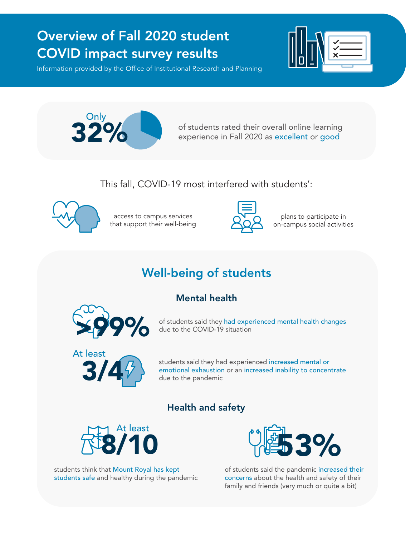# Overview of Fall 2020 student COVID impact survey results

Information provided by the Office of Institutional Research and Planning





**32%** of students rated their overall online learning experience in Fall 2020 as excellent or good

This fall, COVID-19 most interfered with students':



access to campus services that support their well-being



plans to participate in on-campus social activities

# Well-being of students

### Mental health



of students said they had experienced mental health changes due to the COVID-19 situation



students said they had experienced increased mental or emotional exhaustion or an increased inability to concentrate due to the pandemic

### Health and safety



students think that Mount Royal has kept students safe and healthy during the pandemic



of students said the pandemic increased their concerns about the health and safety of their family and friends (very much or quite a bit)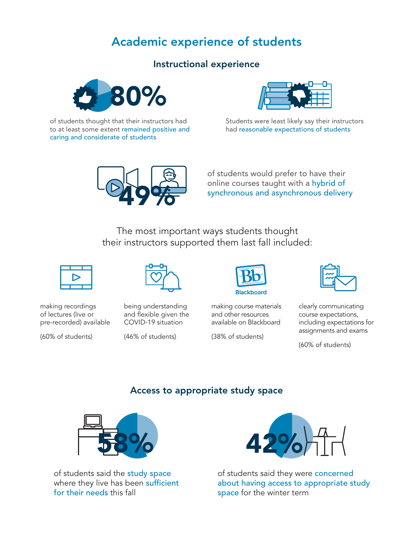# Academic experience of students

#### Instructional experience



of students thought that their instructors had to at least some extent remained positive and caring and considerate of students



Students were least likely say their instructors had reasonable expectations of students



of students would prefer to have their online courses taught with a hybrid of synchronous and asynchronous delivery

The most important ways students thought their instructors supported them last fall included:



making recordings of lectures (live or pre-recorded) available

(60% of students)



being understanding and flexible given the COVID-19 situation

(46% of students)



making course materials and other resources available on Blackboard

(38% of students)



clearly communicating course expectations, including expectations for assignments and exams

(60% of students)

#### Access to appropriate study space



of students said the **study space** where they live has been sufficient for their needs this fall



of students said they were **concerned** about having access to appropriate study space for the winter term